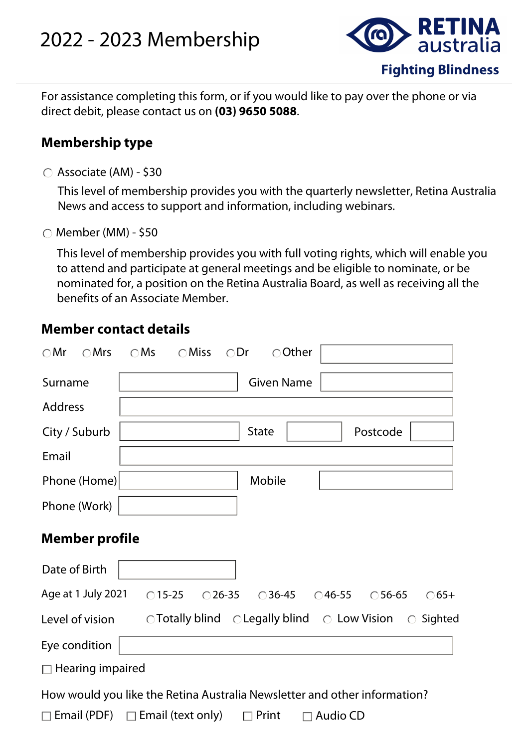## 2022 - 2023 Membership



For assistance completing this form, or if you would like to pay over the phone or via direct debit, please contact us on **(03) 9650 5088**.

## **Membership type**

Associate (AM) - \$30

This level of membership provides you with the quarterly newsletter, Retina Australia News and access to support and information, including webinars.

 $\bigcirc$  Member (MM) - \$50

This level of membership provides you with full voting rights, which will enable you to attend and participate at general meetings and be eligible to nominate, or be nominated for, a position on the Retina Australia Board, as well as receiving all the benefits of an Associate Member.

## **Member contact details**

| $\bigcirc$ Mr<br>$\bigcirc$ Mrs                                           | $\bigcirc$ Ms<br>$\bigcirc$ Miss<br>$\bigcirc$ Dr<br>○ Other                                              |  |  |  |  |  |
|---------------------------------------------------------------------------|-----------------------------------------------------------------------------------------------------------|--|--|--|--|--|
| Surname                                                                   | <b>Given Name</b>                                                                                         |  |  |  |  |  |
| <b>Address</b>                                                            |                                                                                                           |  |  |  |  |  |
| City / Suburb                                                             | <b>State</b><br>Postcode<br>▼∣                                                                            |  |  |  |  |  |
| Email                                                                     |                                                                                                           |  |  |  |  |  |
| Phone (Home)                                                              | Mobile                                                                                                    |  |  |  |  |  |
| Phone (Work)                                                              |                                                                                                           |  |  |  |  |  |
| <b>Member profile</b>                                                     |                                                                                                           |  |  |  |  |  |
| Date of Birth                                                             |                                                                                                           |  |  |  |  |  |
| Age at 1 July 2021                                                        | $\bigcirc$ 15-25<br>$\bigcirc$ 26-35 $\bigcirc$ 36-45 $\bigcirc$ 46-55 $\bigcirc$ 56-65<br>$\bigcirc$ 65+ |  |  |  |  |  |
| Level of vision                                                           | $\circ$ Totally blind $\circ$ Legally blind $\circ$ Low Vision<br>$\circ$ Sighted                         |  |  |  |  |  |
| Eye condition                                                             |                                                                                                           |  |  |  |  |  |
| $\Box$ Hearing impaired                                                   |                                                                                                           |  |  |  |  |  |
| How would you like the Retina Australia Newsletter and other information? |                                                                                                           |  |  |  |  |  |
|                                                                           | $\Box$ Email (PDF) $\Box$ Email (text only)<br>$\Box$ Print<br><b>Audio CD</b>                            |  |  |  |  |  |